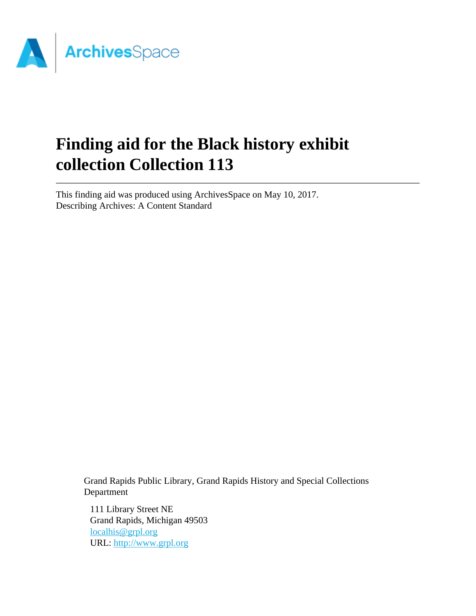

# **Finding aid for the Black history exhibit collection Collection 113**

This finding aid was produced using ArchivesSpace on May 10, 2017. Describing Archives: A Content Standard

> Grand Rapids Public Library, Grand Rapids History and Special Collections Department

111 Library Street NE Grand Rapids, Michigan 49503 [localhis@grpl.org](mailto:localhis@grpl.org) URL:<http://www.grpl.org>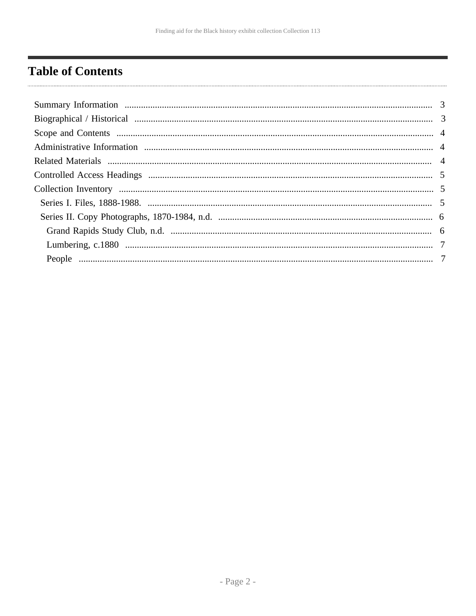# <span id="page-1-0"></span>**Table of Contents**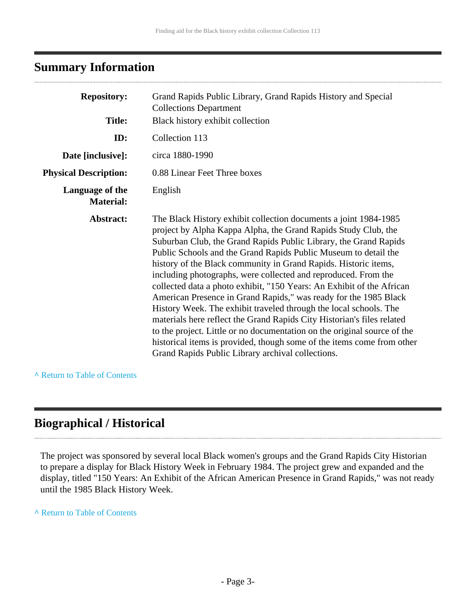### <span id="page-2-0"></span>**Summary Information**

| <b>Repository:</b>                  | Grand Rapids Public Library, Grand Rapids History and Special<br><b>Collections Department</b>                                                                                                                                                                                                                                                                                                                                                                                                                                                                                                                                                                                                                                                                                                                                                                                                                        |
|-------------------------------------|-----------------------------------------------------------------------------------------------------------------------------------------------------------------------------------------------------------------------------------------------------------------------------------------------------------------------------------------------------------------------------------------------------------------------------------------------------------------------------------------------------------------------------------------------------------------------------------------------------------------------------------------------------------------------------------------------------------------------------------------------------------------------------------------------------------------------------------------------------------------------------------------------------------------------|
| <b>Title:</b>                       | Black history exhibit collection                                                                                                                                                                                                                                                                                                                                                                                                                                                                                                                                                                                                                                                                                                                                                                                                                                                                                      |
| ID:                                 | Collection 113                                                                                                                                                                                                                                                                                                                                                                                                                                                                                                                                                                                                                                                                                                                                                                                                                                                                                                        |
| Date [inclusive]:                   | circa 1880-1990                                                                                                                                                                                                                                                                                                                                                                                                                                                                                                                                                                                                                                                                                                                                                                                                                                                                                                       |
| <b>Physical Description:</b>        | 0.88 Linear Feet Three boxes                                                                                                                                                                                                                                                                                                                                                                                                                                                                                                                                                                                                                                                                                                                                                                                                                                                                                          |
| Language of the<br><b>Material:</b> | English                                                                                                                                                                                                                                                                                                                                                                                                                                                                                                                                                                                                                                                                                                                                                                                                                                                                                                               |
| Abstract:                           | The Black History exhibit collection documents a joint 1984-1985<br>project by Alpha Kappa Alpha, the Grand Rapids Study Club, the<br>Suburban Club, the Grand Rapids Public Library, the Grand Rapids<br>Public Schools and the Grand Rapids Public Museum to detail the<br>history of the Black community in Grand Rapids. Historic items,<br>including photographs, were collected and reproduced. From the<br>collected data a photo exhibit, "150 Years: An Exhibit of the African<br>American Presence in Grand Rapids," was ready for the 1985 Black<br>History Week. The exhibit traveled through the local schools. The<br>materials here reflect the Grand Rapids City Historian's files related<br>to the project. Little or no documentation on the original source of the<br>historical items is provided, though some of the items come from other<br>Grand Rapids Public Library archival collections. |

**^** [Return to Table of Contents](#page-1-0)

### <span id="page-2-1"></span>**Biographical / Historical**

The project was sponsored by several local Black women's groups and the Grand Rapids City Historian to prepare a display for Black History Week in February 1984. The project grew and expanded and the display, titled "150 Years: An Exhibit of the African American Presence in Grand Rapids," was not ready until the 1985 Black History Week.

#### **^** [Return to Table of Contents](#page-1-0)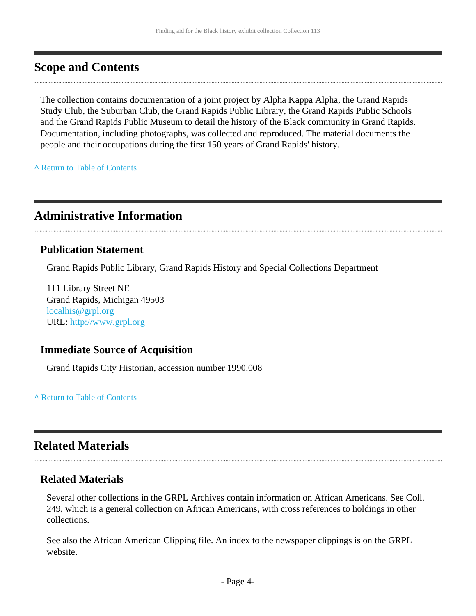### <span id="page-3-0"></span>**Scope and Contents**

The collection contains documentation of a joint project by Alpha Kappa Alpha, the Grand Rapids Study Club, the Suburban Club, the Grand Rapids Public Library, the Grand Rapids Public Schools and the Grand Rapids Public Museum to detail the history of the Black community in Grand Rapids. Documentation, including photographs, was collected and reproduced. The material documents the people and their occupations during the first 150 years of Grand Rapids' history.

**^** [Return to Table of Contents](#page-1-0)

### <span id="page-3-1"></span>**Administrative Information**

#### **Publication Statement**

Grand Rapids Public Library, Grand Rapids History and Special Collections Department

111 Library Street NE Grand Rapids, Michigan 49503 [localhis@grpl.org](mailto:localhis@grpl.org) URL:<http://www.grpl.org>

#### **Immediate Source of Acquisition**

Grand Rapids City Historian, accession number 1990.008

**^** [Return to Table of Contents](#page-1-0)

### <span id="page-3-2"></span>**Related Materials**

#### **Related Materials**

Several other collections in the GRPL Archives contain information on African Americans. See Coll. 249, which is a general collection on African Americans, with cross references to holdings in other collections.

See also the African American Clipping file. An index to the newspaper clippings is on the GRPL website.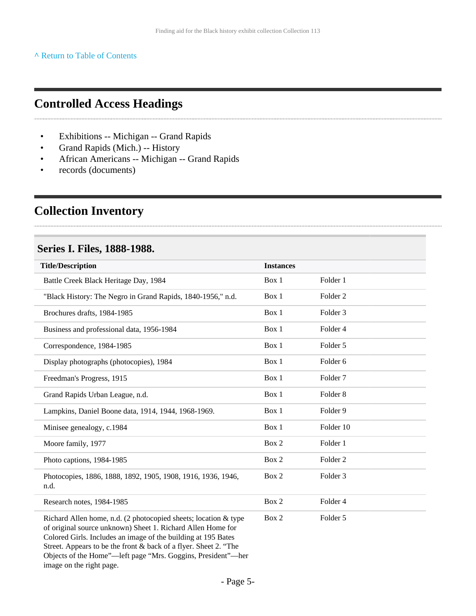**^** [Return to Table of Contents](#page-1-0)

### <span id="page-4-0"></span>**Controlled Access Headings**

- Exhibitions -- Michigan -- Grand Rapids
- Grand Rapids (Mich.) -- History
- African Americans -- Michigan -- Grand Rapids
- records (documents)

### <span id="page-4-1"></span>**Collection Inventory**

#### <span id="page-4-2"></span>**Series I. Files, 1888-1988.**

| <b>Title/Description</b>                                                                                                                                                                                                                                            | <b>Instances</b> |                     |
|---------------------------------------------------------------------------------------------------------------------------------------------------------------------------------------------------------------------------------------------------------------------|------------------|---------------------|
| Battle Creek Black Heritage Day, 1984                                                                                                                                                                                                                               | Box 1            | Folder 1            |
| "Black History: The Negro in Grand Rapids, 1840-1956," n.d.                                                                                                                                                                                                         | Box 1            | Folder <sub>2</sub> |
| Brochures drafts, 1984-1985                                                                                                                                                                                                                                         | Box 1            | Folder 3            |
| Business and professional data, 1956-1984                                                                                                                                                                                                                           | Box 1            | Folder 4            |
| Correspondence, 1984-1985                                                                                                                                                                                                                                           | Box 1            | Folder 5            |
| Display photographs (photocopies), 1984                                                                                                                                                                                                                             | Box 1            | Folder <sub>6</sub> |
| Freedman's Progress, 1915                                                                                                                                                                                                                                           | Box 1            | Folder <sub>7</sub> |
| Grand Rapids Urban League, n.d.                                                                                                                                                                                                                                     | Box 1            | Folder <sub>8</sub> |
| Lampkins, Daniel Boone data, 1914, 1944, 1968-1969.                                                                                                                                                                                                                 | Box 1            | Folder 9            |
| Minisee genealogy, c.1984                                                                                                                                                                                                                                           | Box 1            | Folder 10           |
| Moore family, 1977                                                                                                                                                                                                                                                  | Box 2            | Folder 1            |
| Photo captions, 1984-1985                                                                                                                                                                                                                                           | Box 2            | Folder <sub>2</sub> |
| Photocopies, 1886, 1888, 1892, 1905, 1908, 1916, 1936, 1946,<br>n.d.                                                                                                                                                                                                | Box 2            | Folder 3            |
| Research notes, 1984-1985                                                                                                                                                                                                                                           | Box 2            | Folder 4            |
| Richard Allen home, n.d. (2 photocopied sheets; location & type<br>of original source unknown) Sheet 1. Richard Allen Home for<br>Colored Girls. Includes an image of the building at 195 Bates<br>Street. Appears to be the front & back of a flyer. Sheet 2. "The | Box 2            | Folder 5            |

Objects of the Home"—left page "Mrs. Goggins, President"—her image on the right page.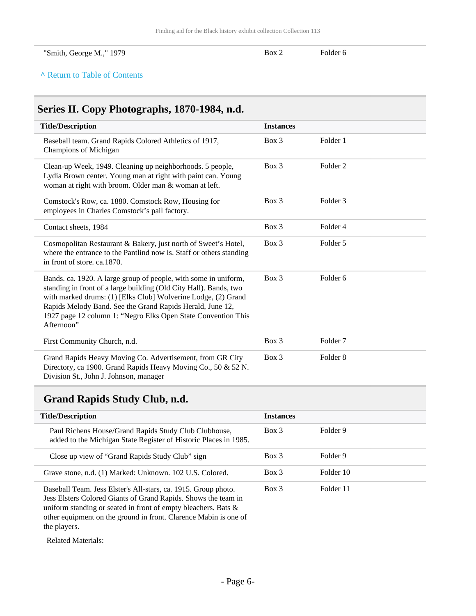| "Smith, George M.," 1979 | Box $\geq$ | Folder 6 |
|--------------------------|------------|----------|

#### **^** [Return to Table of Contents](#page-1-0)

# <span id="page-5-0"></span>**Series II. Copy Photographs, 1870-1984, n.d.**

| <b>Title/Description</b>                                                                                                                                                                                                                                                                                                                          | <b>Instances</b> |                     |
|---------------------------------------------------------------------------------------------------------------------------------------------------------------------------------------------------------------------------------------------------------------------------------------------------------------------------------------------------|------------------|---------------------|
| Baseball team. Grand Rapids Colored Athletics of 1917,<br>Champions of Michigan                                                                                                                                                                                                                                                                   | $Box$ 3          | Folder 1            |
| Clean-up Week, 1949. Cleaning up neighborhoods. 5 people,<br>Lydia Brown center. Young man at right with paint can. Young<br>woman at right with broom. Older man & woman at left.                                                                                                                                                                | $Box$ 3          | Folder <sub>2</sub> |
| Comstock's Row, ca. 1880. Comstock Row, Housing for<br>employees in Charles Comstock's pail factory.                                                                                                                                                                                                                                              | $Box$ 3          | Folder <sub>3</sub> |
| Contact sheets, 1984                                                                                                                                                                                                                                                                                                                              | Box 3            | Folder 4            |
| Cosmopolitan Restaurant & Bakery, just north of Sweet's Hotel,<br>where the entrance to the Pantlind now is. Staff or others standing<br>in front of store. ca.1870.                                                                                                                                                                              | $Box$ 3          | Folder 5            |
| Bands. ca. 1920. A large group of people, with some in uniform,<br>standing in front of a large building (Old City Hall). Bands, two<br>with marked drums: (1) [Elks Club] Wolverine Lodge, (2) Grand<br>Rapids Melody Band. See the Grand Rapids Herald, June 12,<br>1927 page 12 column 1: "Negro Elks Open State Convention This<br>Afternoon" | $Box$ 3          | Folder <sub>6</sub> |
| First Community Church, n.d.                                                                                                                                                                                                                                                                                                                      | Box 3            | Folder <sub>7</sub> |
| Grand Rapids Heavy Moving Co. Advertisement, from GR City<br>Directory, ca 1900. Grand Rapids Heavy Moving Co., 50 & 52 N.                                                                                                                                                                                                                        | $Box$ 3          | Folder <sub>8</sub> |

Division St., John J. Johnson, manager

### <span id="page-5-1"></span>**Grand Rapids Study Club, n.d.**

| <b>Title/Description</b>                                                                                                                                                                                                                                               | <b>Instances</b> |           |
|------------------------------------------------------------------------------------------------------------------------------------------------------------------------------------------------------------------------------------------------------------------------|------------------|-----------|
| Paul Richens House/Grand Rapids Study Club Clubhouse,<br>added to the Michigan State Register of Historic Places in 1985.                                                                                                                                              | $Box$ 3          | Folder 9  |
| Close up view of "Grand Rapids Study Club" sign                                                                                                                                                                                                                        | $Box$ 3          | Folder 9  |
| Grave stone, n.d. (1) Marked: Unknown. 102 U.S. Colored.                                                                                                                                                                                                               | $Box$ 3          | Folder 10 |
| Baseball Team. Jess Elster's All-stars, ca. 1915. Group photo.<br>Jess Elsters Colored Giants of Grand Rapids. Shows the team in<br>uniform standing or seated in front of empty bleachers. Bats &<br>other equipment on the ground in front. Clarence Mabin is one of | $Box$ 3          | Folder 11 |

the players.

Related Materials: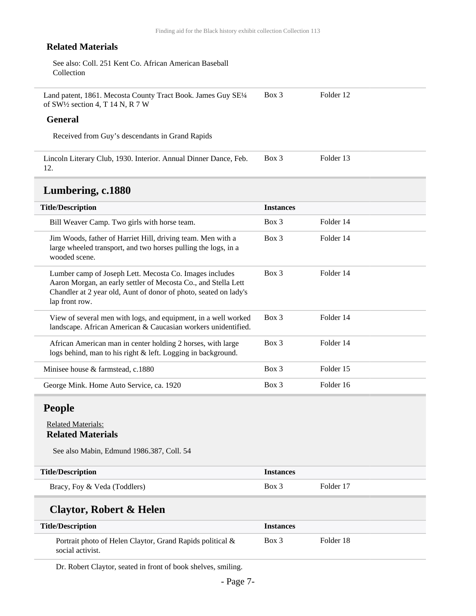#### **Related Materials**

| See also: Coll. 251 Kent Co. African American Baseball |  |
|--------------------------------------------------------|--|
| Collection                                             |  |

| Land patent, 1861. Mecosta County Tract Book. James Guy SE1/4 | Box 3 | Folder 12 |
|---------------------------------------------------------------|-------|-----------|
| of SW1/2 section 4, T 14 N, R 7 W                             |       |           |

#### **General**

Received from Guy's descendants in Grand Rapids

| Lincoln Literary Club, 1930. Interior. Annual Dinner Dance, Feb. Box 3 | Folder 13 |
|------------------------------------------------------------------------|-----------|
|                                                                        |           |

### <span id="page-6-0"></span>**Lumbering, c.1880**

| <b>Title/Description</b>                                                                                                                                                                                        | <b>Instances</b> |           |
|-----------------------------------------------------------------------------------------------------------------------------------------------------------------------------------------------------------------|------------------|-----------|
| Bill Weaver Camp. Two girls with horse team.                                                                                                                                                                    | $Box$ 3          | Folder 14 |
| Jim Woods, father of Harriet Hill, driving team. Men with a<br>large wheeled transport, and two horses pulling the logs, in a<br>wooded scene.                                                                  | $Box\ 3$         | Folder 14 |
| Lumber camp of Joseph Lett. Mecosta Co. Images includes<br>Aaron Morgan, an early settler of Mecosta Co., and Stella Lett<br>Chandler at 2 year old, Aunt of donor of photo, seated on lady's<br>lap front row. | $Box\ 3$         | Folder 14 |
| View of several men with logs, and equipment, in a well worked<br>landscape. African American & Caucasian workers unidentified.                                                                                 | $Box$ 3          | Folder 14 |
| African American man in center holding 2 horses, with large<br>logs behind, man to his right & left. Logging in background.                                                                                     | $Box$ 3          | Folder 14 |
| Minisee house & farmstead, c.1880                                                                                                                                                                               | $Box\ 3$         | Folder 15 |
| George Mink. Home Auto Service, ca. 1920                                                                                                                                                                        | $Box\ 3$         | Folder 16 |

### <span id="page-6-1"></span>**People**

#### Related Materials: **Related Materials**

See also Mabin, Edmund 1986.387, Coll. 54

| <b>Title/Description</b>     | <i><u><b>Instances</b></u></i> |           |
|------------------------------|--------------------------------|-----------|
| Bracy, Foy & Veda (Toddlers) | Box 3                          | Folder 17 |

### **Claytor, Robert & Helen**

| <b>Title/Description</b>                                                      | <i><u><b>Instances</b></u></i> |           |
|-------------------------------------------------------------------------------|--------------------------------|-----------|
| Portrait photo of Helen Claytor, Grand Rapids political &<br>social activist. | Box 3                          | Folder 18 |

Dr. Robert Claytor, seated in front of book shelves, smiling.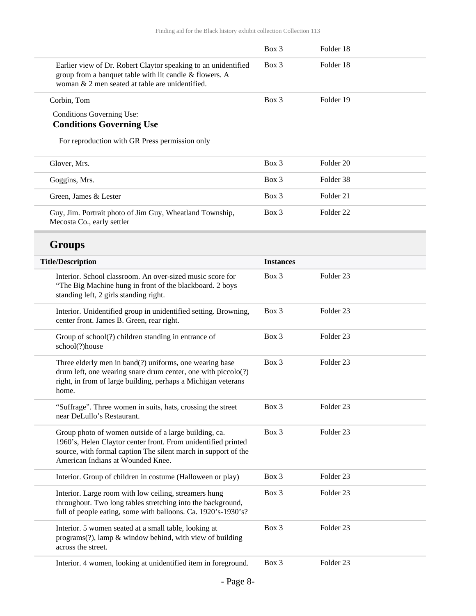|                                                                                                                                                                                                                               | $Box$ 3          | Folder 18            |
|-------------------------------------------------------------------------------------------------------------------------------------------------------------------------------------------------------------------------------|------------------|----------------------|
| Earlier view of Dr. Robert Claytor speaking to an unidentified<br>group from a banquet table with lit candle & flowers. A<br>woman & 2 men seated at table are unidentified.                                                  | Box 3            | Folder 18            |
| Corbin, Tom                                                                                                                                                                                                                   | Box 3            | Folder 19            |
| <b>Conditions Governing Use:</b><br><b>Conditions Governing Use</b>                                                                                                                                                           |                  |                      |
| For reproduction with GR Press permission only                                                                                                                                                                                |                  |                      |
| Glover, Mrs.                                                                                                                                                                                                                  | Box 3            | Folder <sub>20</sub> |
| Goggins, Mrs.                                                                                                                                                                                                                 | Box 3            | Folder 38            |
| Green, James & Lester                                                                                                                                                                                                         | $Box$ 3          | Folder 21            |
| Guy, Jim. Portrait photo of Jim Guy, Wheatland Township,<br>Mecosta Co., early settler                                                                                                                                        | Box 3            | Folder <sub>22</sub> |
| <b>Groups</b>                                                                                                                                                                                                                 |                  |                      |
| <b>Title/Description</b>                                                                                                                                                                                                      | <b>Instances</b> |                      |
| Interior. School classroom. An over-sized music score for<br>"The Big Machine hung in front of the blackboard. 2 boys<br>standing left, 2 girls standing right.                                                               | Box 3            | Folder <sub>23</sub> |
| Interior. Unidentified group in unidentified setting. Browning,<br>center front. James B. Green, rear right.                                                                                                                  | Box 3            | Folder <sub>23</sub> |
| Group of school(?) children standing in entrance of<br>school(?)house                                                                                                                                                         | Box 3            | Folder <sub>23</sub> |
| Three elderly men in band(?) uniforms, one wearing base<br>drum left, one wearing snare drum center, one with piccolo(?)<br>right, in from of large building, perhaps a Michigan veterans<br>home.                            | Box 3            | Folder <sub>23</sub> |
| "Suffrage". Three women in suits, hats, crossing the street<br>near DeLullo's Restaurant.                                                                                                                                     | Box 3            | Folder 23            |
| Group photo of women outside of a large building, ca.<br>1960's, Helen Claytor center front. From unidentified printed<br>source, with formal caption The silent march in support of the<br>American Indians at Wounded Knee. | Box 3            | Folder 23            |
| Interior. Group of children in costume (Halloween or play)                                                                                                                                                                    | Box 3            | Folder 23            |
| Interior. Large room with low ceiling, streamers hung<br>throughout. Two long tables stretching into the background,<br>full of people eating, some with balloons. Ca. 1920's-1930's?                                         | Box 3            | Folder 23            |
| Interior. 5 women seated at a small table, looking at<br>programs(?), lamp & window behind, with view of building<br>across the street.                                                                                       | Box 3            | Folder 23            |
| Interior. 4 women, looking at unidentified item in foreground.                                                                                                                                                                | Box 3            | Folder 23            |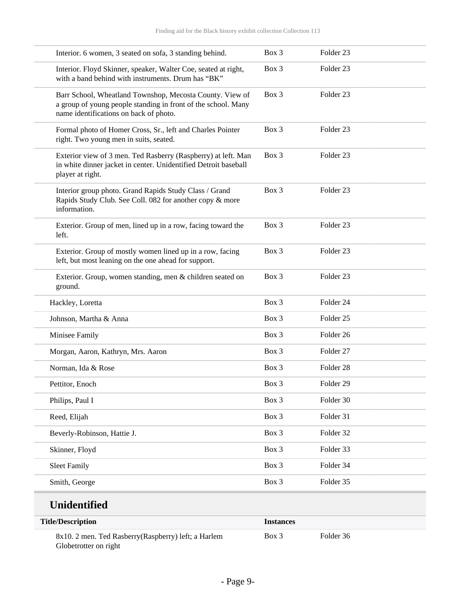| Interior. 6 women, 3 seated on sofa, 3 standing behind.                                                                                                             | Box 3 | Folder <sub>23</sub> |
|---------------------------------------------------------------------------------------------------------------------------------------------------------------------|-------|----------------------|
| Interior. Floyd Skinner, speaker, Walter Coe, seated at right,<br>with a band behind with instruments. Drum has "BK"                                                | Box 3 | Folder <sub>23</sub> |
| Barr School, Wheatland Townshop, Mecosta County. View of<br>a group of young people standing in front of the school. Many<br>name identifications on back of photo. | Box 3 | Folder <sub>23</sub> |
| Formal photo of Homer Cross, Sr., left and Charles Pointer<br>right. Two young men in suits, seated.                                                                | Box 3 | Folder <sub>23</sub> |
| Exterior view of 3 men. Ted Rasberry (Raspberry) at left. Man<br>in white dinner jacket in center. Unidentified Detroit baseball<br>player at right.                | Box 3 | Folder <sub>23</sub> |
| Interior group photo. Grand Rapids Study Class / Grand<br>Rapids Study Club. See Coll. 082 for another copy & more<br>information.                                  | Box 3 | Folder <sub>23</sub> |
| Exterior. Group of men, lined up in a row, facing toward the<br>left.                                                                                               | Box 3 | Folder <sub>23</sub> |
| Exterior. Group of mostly women lined up in a row, facing<br>left, but most leaning on the one ahead for support.                                                   | Box 3 | Folder <sub>23</sub> |
| Exterior. Group, women standing, men & children seated on<br>ground.                                                                                                | Box 3 | Folder <sub>23</sub> |
| Hackley, Loretta                                                                                                                                                    | Box 3 | Folder 24            |
| Johnson, Martha & Anna                                                                                                                                              | Box 3 | Folder <sub>25</sub> |
| Minisee Family                                                                                                                                                      | Box 3 | Folder 26            |
| Morgan, Aaron, Kathryn, Mrs. Aaron                                                                                                                                  | Box 3 | Folder <sub>27</sub> |
| Norman, Ida & Rose                                                                                                                                                  | Box 3 | Folder <sub>28</sub> |
| Pettitor, Enoch                                                                                                                                                     | Box 3 | Folder <sub>29</sub> |
| Philips, Paul I                                                                                                                                                     | Box 3 | Folder 30            |
| Reed, Elijah                                                                                                                                                        | Box 3 | Folder 31            |
| Beverly-Robinson, Hattie J.                                                                                                                                         | Box 3 | Folder 32            |
| Skinner, Floyd                                                                                                                                                      | Box 3 | Folder 33            |
| <b>Sleet Family</b>                                                                                                                                                 | Box 3 | Folder 34            |
| Smith, George                                                                                                                                                       | Box 3 | Folder 35            |
|                                                                                                                                                                     |       |                      |

# **Unidentified**

| <b>Title/Description</b>                                                      | <i><u><b>Instances</b></u></i> |           |
|-------------------------------------------------------------------------------|--------------------------------|-----------|
| 8x10. 2 men. Ted Rasberry (Raspberry) left; a Harlem<br>Globetrotter on right | Box 3                          | Folder 36 |